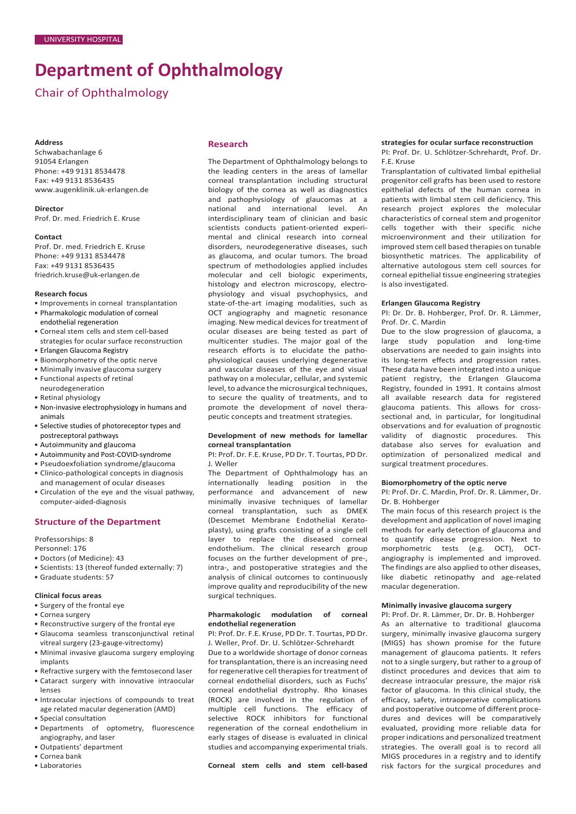# **Department of Ophthalmology**

# Chair of Ophthalmology

#### **Address**

Schwabachanlage 6 91054 Erlangen Phone: +49 9131 8534478 Fax: +49 9131 8536435 [www.augenklinik.uk-erlangen.de](http://www.augenklinik.uk-erlangen.de/)

**Director** Prof. Dr. med. Friedrich E. Kruse

**Contact**

Prof. Dr. med. Friedrich E. Kruse Phone: +49 9131 8534478 Fax: +49 9131 8536435 [friedrich.kruse@uk-erlangen.de](mailto:friedrich.kruse@uk-erlangen.de)

#### **Research focus**

- Improvements in corneal transplantation
- Pharmakologic modulation of corneal
- endothelial regeneration
- Corneal stem cells and stem cell-based strategies for ocular surface reconstruction
- Erlangen Glaucoma Registry
- Biomorphometry of the optic nerve
- Minimally invasive glaucoma surgery
- Functional aspects of retinal neurodegeneration
- Retinal physiology
- Non-invasive electrophysiology in humans and animals
- Selective studies of photoreceptor types and postreceptoral pathways
- Autoimmunity and glaucoma
- Autoimmunity and Post-COVID-syndrome
- Pseudoexfoliation syndrome/glaucoma
- Clinico-pathological concepts in diagnosis and management of ocular diseases
- Circulation of the eye and the visual pathway, computer-aided-diagnosis

# **Structure of the Department**

Professorships: 8

Personnel: 176

- Doctors (of Medicine): 43
- Scientists: 13 (thereof funded externally: 7)
- Graduate students: 57

# **Clinical focus areas**

- Surgery of the frontal eye
- Cornea surgery
- Reconstructive surgery of the frontal eye
- Glaucoma seamless transconjunctival retinal vitreal surgery (23-gauge-vitrectomy)
- Minimal invasive glaucoma surgery employing implants
- Refractive surgery with the femtosecond laser
- Cataract surgery with innovative intraocular lenses
- Intraocular injections of compounds to treat age related macular degeneration (AMD)
- Special consultation
- Departments of optometry, fluorescence angiography, and laser
- Outpatients' department
- Cornea bank
- Laboratories

# **Research**

The Department of Ophthalmology belongs to the leading centers in the areas of lamellar corneal transplantation including structural biology of the cornea as well as diagnostics and pathophysiology of glaucomas at a national and international level. An interdisciplinary team of clinician and basic scientists conducts patient-oriented experimental and clinical research into corneal disorders, neurodegenerative diseases, such as glaucoma, and ocular tumors. The broad spectrum of methodologies applied includes molecular and cell biologic experiments, histology and electron microscopy, electrophysiology and visual psychophysics, and state-of-the-art imaging modalities, such as OCT angiography and magnetic resonance imaging. New medical devices for treatment of ocular diseases are being tested as part of multicenter studies. The major goal of the research efforts is to elucidate the pathophysiological causes underlying degenerative and vascular diseases of the eye and visual pathway on a molecular, cellular, and systemic level, to advance the microsurgical techniques, to secure the quality of treatments, and to promote the development of novel therapeutic concepts and treatment strategies.

#### **Development of new methods for lamellar corneal transplantation**

PI: Prof. Dr. F.E. Kruse, PD Dr. T. Tourtas, PD Dr. J. Weller

The Department of Ophthalmology has an internationally leading position in the performance and advancement of new minimally invasive techniques of lamellar corneal transplantation, such as DMEK (Descemet Membrane Endothelial Keratoplasty), using grafts consisting of a single cell layer to replace the diseased corneal endothelium. The clinical research group focuses on the further development of pre-, intra-, and postoperative strategies and the analysis of clinical outcomes to continuously improve quality and reproducibility of the new surgical techniques.

#### **Pharmakologic modulation of corneal endothelial regeneration**

PI: Prof. Dr. F.E. Kruse, PD Dr. T. Tourtas, PD Dr. J. Weller, Prof. Dr. U. Schlötzer-Schrehardt

Due to a worldwide shortage of donor corneas for transplantation, there is an increasing need for regenerative cell therapies for treatment of corneal endothelial disorders, such as Fuchs' corneal endothelial dystrophy. Rho kinases (ROCK) are involved in the regulation of multiple cell functions. The efficacy of selective ROCK inhibitors for functional regeneration of the corneal endothelium in early stages of disease is evaluated in clinical studies and accompanying experimental trials.

# **Corneal stem cells and stem cell-based**

#### **strategies for ocular surface reconstruction** PI: Prof. Dr. U. Schlötzer-Schrehardt, Prof. Dr. F.E. Kruse

Transplantation of cultivated limbal epithelial progenitor cell grafts has been used to restore epithelial defects of the human cornea in patients with limbal stem cell deficiency. This research project explores the molecular characteristics of corneal stem and progenitor cells together with their specific niche microenvironment and their utilization for improved stem cell based therapies on tunable biosynthetic matrices. The applicability of alternative autologous stem cell sources for corneal epithelial tissue engineering strategies is also investigated.

#### **Erlangen Glaucoma Registry**

PI: Dr. Dr. B. Hohberger, Prof. Dr. R. Lämmer, Prof. Dr. C. Mardin

Due to the slow progression of glaucoma, a large study population and long-time observations are needed to gain insights into its long-term effects and progression rates. These data have been integrated into a unique patient registry, the Erlangen Glaucoma Registry, founded in 1991. It contains almost all available research data for registered glaucoma patients. This allows for crosssectional and, in particular, for longitudinal observations and for evaluation of prognostic validity of diagnostic procedures. This database also serves for evaluation and optimization of personalized medical and surgical treatment procedures.

#### **Biomorphometry of the optic nerve**

PI: Prof. Dr. C. Mardin, Prof. Dr. R. Lämmer, Dr. Dr. B. Hohberger

The main focus of this research project is the development and application of novel imaging methods for early detection of glaucoma and to quantify disease progression. Next to morphometric tests (e.g. OCT), OCTangiography is implemented and improved. The findings are also applied to other diseases, like diabetic retinopathy and age-related macular degeneration.

#### **Minimally invasive glaucoma surgery**

PI: Prof. Dr. R. Lämmer, Dr. Dr. B. Hohberger As an alternative to traditional glaucoma surgery, minimally invasive glaucoma surgery (MIGS) has shown promise for the future management of glaucoma patients. It refers not to a single surgery, but rather to a group of distinct procedures and devices that aim to decrease intraocular pressure, the major risk factor of glaucoma. In this clinical study, the efficacy, safety, intraoperative complications and postoperative outcome of different procedures and devices will be comparatively evaluated, providing more reliable data for proper indications and personalized treatment strategies. The overall goal is to record all MIGS procedures in a registry and to identify risk factors for the surgical procedures and